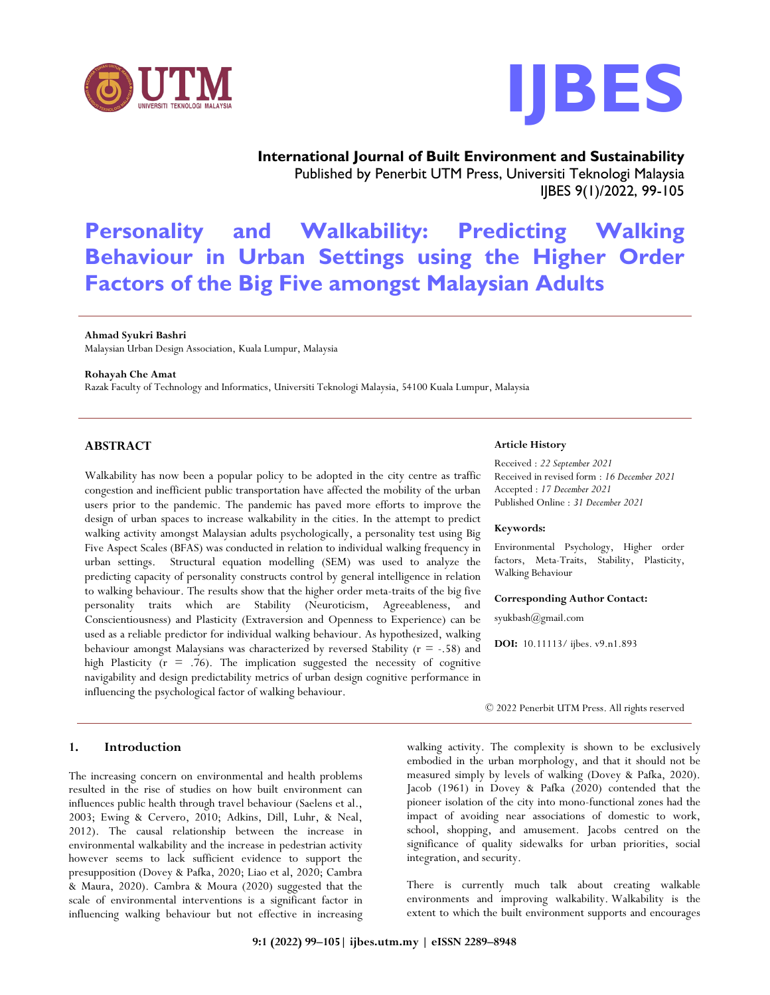



**International Journal of Built Environment and Sustainability** Published by Penerbit UTM Press, Universiti Teknologi Malaysia IJBES 9(1)/2022, 99-105

# **Personality and Walkability: Predicting Walking Behaviour in Urban Settings using the Higher Order Factors of the Big Five amongst Malaysian Adults**

#### **Ahmad Syukri Bashri**

Malaysian Urban Design Association, Kuala Lumpur, Malaysia

#### **Rohayah Che Amat**

Razak Faculty of Technology and Informatics, Universiti Teknologi Malaysia, 54100 Kuala Lumpur, Malaysia

## **ABSTRACT**

Walkability has now been a popular policy to be adopted in the city centre as traffic congestion and inefficient public transportation have affected the mobility of the urban users prior to the pandemic. The pandemic has paved more efforts to improve the design of urban spaces to increase walkability in the cities. In the attempt to predict walking activity amongst Malaysian adults psychologically, a personality test using Big Five Aspect Scales (BFAS) was conducted in relation to individual walking frequency in urban settings. Structural equation modelling (SEM) was used to analyze the predicting capacity of personality constructs control by general intelligence in relation to walking behaviour. The results show that the higher order meta-traits of the big five personality traits which are Stability (Neuroticism, Agreeableness, and Conscientiousness) and Plasticity (Extraversion and Openness to Experience) can be used as a reliable predictor for individual walking behaviour. As hypothesized, walking behaviour amongst Malaysians was characterized by reversed Stability  $(r = -.58)$  and high Plasticity ( $r = .76$ ). The implication suggested the necessity of cognitive navigability and design predictability metrics of urban design cognitive performance in influencing the psychological factor of walking behaviour.

## **1. Introduction**

The increasing concern on environmental and health problems resulted in the rise of studies on how built environment can influences public health through travel behaviour (Saelens et al., 2003; Ewing & Cervero, 2010; Adkins, Dill, Luhr, & Neal, 2012). The causal relationship between the increase in environmental walkability and the increase in pedestrian activity however seems to lack sufficient evidence to support the presupposition (Dovey & Pafka, 2020; Liao et al, 2020; Cambra & Maura, 2020). Cambra & Moura (2020) suggested that the scale of environmental interventions is a significant factor in influencing walking behaviour but not effective in increasing

#### **Article History**

Received : *22 September 2021* Received in revised form : *16 December 2021* Accepted : *17 December 2021* Published Online : *31 December 2021*

#### **Keywords:**

Environmental Psychology, Higher order factors, Meta-Traits, Stability, Plasticity, Walking Behaviour

#### **Corresponding Author Contact:**

syukbash@gmail.com

**DOI:** 10.11113/ ijbes. v9.n1.893

© 2022 Penerbit UTM Press. All rights reserved

walking activity. The complexity is shown to be exclusively embodied in the urban morphology, and that it should not be measured simply by levels of walking (Dovey & Pafka, 2020). Jacob (1961) in Dovey & Pafka (2020) contended that the pioneer isolation of the city into mono-functional zones had the impact of avoiding near associations of domestic to work, school, shopping, and amusement. Jacobs centred on the significance of quality sidewalks for urban priorities, social integration, and security.

There is currently much talk about creating walkable environments and improving walkability. Walkability is the extent to which the built environment supports and encourages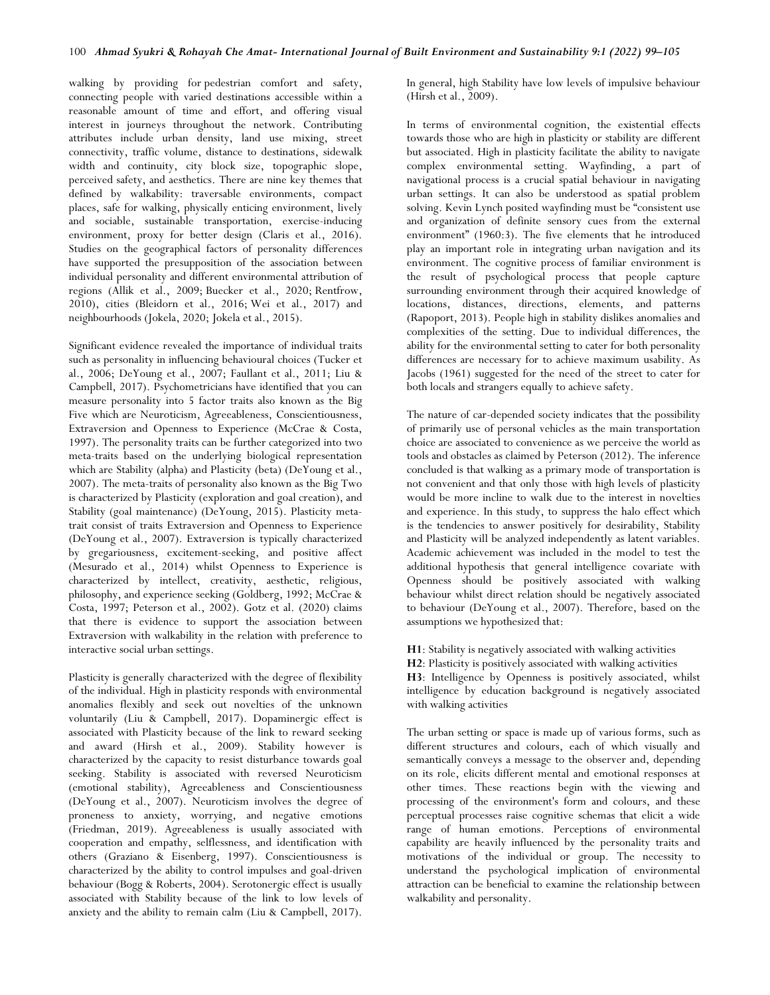walking by providing for pedestrian comfort and safety, connecting people with varied destinations accessible within a reasonable amount of time and effort, and offering visual interest in journeys throughout the network. Contributing attributes include urban density, land use mixing, street connectivity, traffic volume, distance to destinations, sidewalk width and continuity, city block size, topographic slope, perceived safety, and aesthetics. There are nine key themes that defined by walkability: traversable environments, compact places, safe for walking, physically enticing environment, lively and sociable, sustainable transportation, exercise-inducing environment, proxy for better design (Claris et al., 2016). Studies on the geographical factors of personality differences have supported the presupposition of the association between individual personality and different environmental attribution of regions (Allik et al., 2009; Buecker et al., 2020; Rentfrow, 2010), cities (Bleidorn et al., 2016; Wei et al., 2017) and neighbourhoods (Jokela, 2020; Jokela et al., 2015).

Significant evidence revealed the importance of individual traits such as personality in influencing behavioural choices (Tucker et al., 2006; DeYoung et al., 2007; Faullant et al., 2011; Liu & Campbell, 2017). Psychometricians have identified that you can measure personality into 5 factor traits also known as the Big Five which are Neuroticism, Agreeableness, Conscientiousness, Extraversion and Openness to Experience (McCrae & Costa, 1997). The personality traits can be further categorized into two meta-traits based on the underlying biological representation which are Stability (alpha) and Plasticity (beta) (DeYoung et al., 2007). The meta-traits of personality also known as the Big Two is characterized by Plasticity (exploration and goal creation), and Stability (goal maintenance) (DeYoung, 2015). Plasticity metatrait consist of traits Extraversion and Openness to Experience (DeYoung et al., 2007). Extraversion is typically characterized by gregariousness, excitement-seeking, and positive affect (Mesurado et al., 2014) whilst Openness to Experience is characterized by intellect, creativity, aesthetic, religious, philosophy, and experience seeking (Goldberg, 1992; McCrae & Costa, 1997; Peterson et al., 2002). Gotz et al. (2020) claims that there is evidence to support the association between Extraversion with walkability in the relation with preference to interactive social urban settings.

Plasticity is generally characterized with the degree of flexibility of the individual. High in plasticity responds with environmental anomalies flexibly and seek out novelties of the unknown voluntarily (Liu & Campbell, 2017). Dopaminergic effect is associated with Plasticity because of the link to reward seeking and award (Hirsh et al., 2009). Stability however is characterized by the capacity to resist disturbance towards goal seeking. Stability is associated with reversed Neuroticism (emotional stability), Agreeableness and Conscientiousness (DeYoung et al., 2007). Neuroticism involves the degree of proneness to anxiety, worrying, and negative emotions (Friedman, 2019). Agreeableness is usually associated with cooperation and empathy, selflessness, and identification with others (Graziano & Eisenberg, 1997). Conscientiousness is characterized by the ability to control impulses and goal-driven behaviour (Bogg & Roberts, 2004). Serotonergic effect is usually associated with Stability because of the link to low levels of anxiety and the ability to remain calm (Liu & Campbell, 2017).

In general, high Stability have low levels of impulsive behaviour (Hirsh et al., 2009).

In terms of environmental cognition, the existential effects towards those who are high in plasticity or stability are different but associated. High in plasticity facilitate the ability to navigate complex environmental setting. Wayfinding, a part of navigational process is a crucial spatial behaviour in navigating urban settings. It can also be understood as spatial problem solving. Kevin Lynch posited wayfinding must be "consistent use and organization of definite sensory cues from the external environment" (1960:3). The five elements that he introduced play an important role in integrating urban navigation and its environment. The cognitive process of familiar environment is the result of psychological process that people capture surrounding environment through their acquired knowledge of locations, distances, directions, elements, and patterns (Rapoport, 2013). People high in stability dislikes anomalies and complexities of the setting. Due to individual differences, the ability for the environmental setting to cater for both personality differences are necessary for to achieve maximum usability. As Jacobs (1961) suggested for the need of the street to cater for both locals and strangers equally to achieve safety.

The nature of car-depended society indicates that the possibility of primarily use of personal vehicles as the main transportation choice are associated to convenience as we perceive the world as tools and obstacles as claimed by Peterson (2012). The inference concluded is that walking as a primary mode of transportation is not convenient and that only those with high levels of plasticity would be more incline to walk due to the interest in novelties and experience. In this study, to suppress the halo effect which is the tendencies to answer positively for desirability, Stability and Plasticity will be analyzed independently as latent variables. Academic achievement was included in the model to test the additional hypothesis that general intelligence covariate with Openness should be positively associated with walking behaviour whilst direct relation should be negatively associated to behaviour (DeYoung et al., 2007). Therefore, based on the assumptions we hypothesized that:

**H1**: Stability is negatively associated with walking activities

**H2**: Plasticity is positively associated with walking activities

**H3**: Intelligence by Openness is positively associated, whilst intelligence by education background is negatively associated with walking activities

The urban setting or space is made up of various forms, such as different structures and colours, each of which visually and semantically conveys a message to the observer and, depending on its role, elicits different mental and emotional responses at other times. These reactions begin with the viewing and processing of the environment's form and colours, and these perceptual processes raise cognitive schemas that elicit a wide range of human emotions. Perceptions of environmental capability are heavily influenced by the personality traits and motivations of the individual or group. The necessity to understand the psychological implication of environmental attraction can be beneficial to examine the relationship between walkability and personality.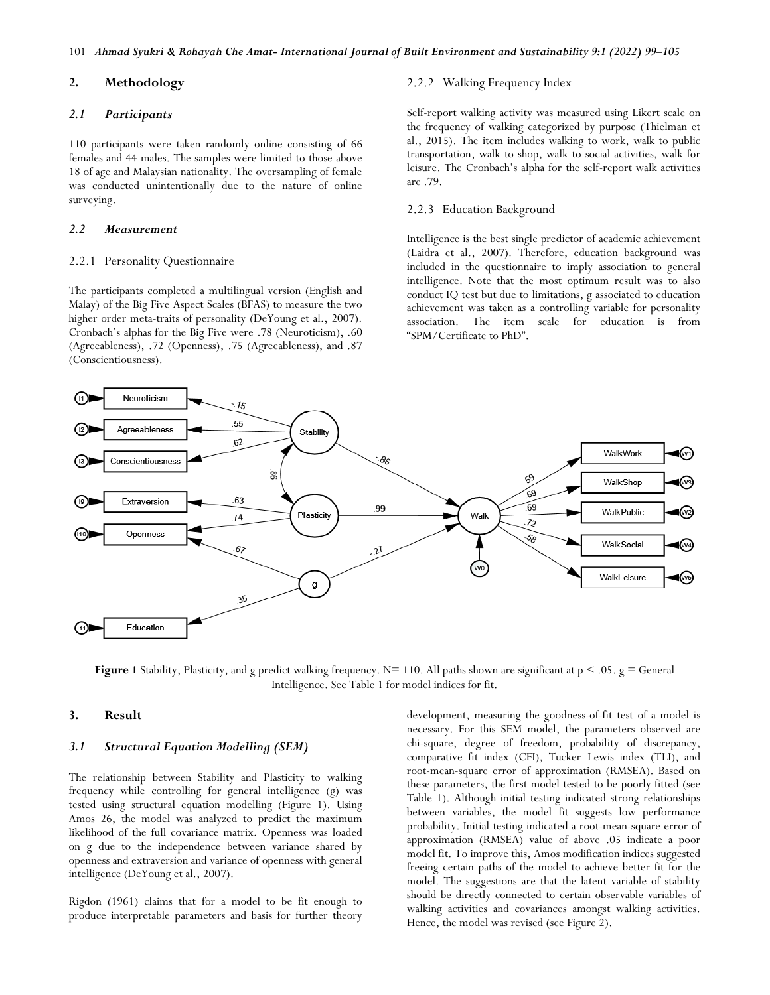# **2. Methodology**

## *2.1 Participants*

110 participants were taken randomly online consisting of 66 females and 44 males. The samples were limited to those above 18 of age and Malaysian nationality. The oversampling of female was conducted unintentionally due to the nature of online surveying.

## *2.2 Measurement*

#### 2.2.1 Personality Questionnaire

The participants completed a multilingual version (English and Malay) of the Big Five Aspect Scales (BFAS) to measure the two higher order meta-traits of personality (DeYoung et al., 2007). Cronbach's alphas for the Big Five were .78 (Neuroticism), .60 (Agreeableness), .72 (Openness), .75 (Agreeableness), and .87 (Conscientiousness).

## 2.2.2 Walking Frequency Index

Self-report walking activity was measured using Likert scale on the frequency of walking categorized by purpose (Thielman et al., 2015). The item includes walking to work, walk to public transportation, walk to shop, walk to social activities, walk for leisure. The Cronbach's alpha for the self-report walk activities are .79.

#### 2.2.3 Education Background

Intelligence is the best single predictor of academic achievement (Laidra et al., 2007). Therefore, education background was included in the questionnaire to imply association to general intelligence. Note that the most optimum result was to also conduct IQ test but due to limitations, g associated to education achievement was taken as a controlling variable for personality association. The item scale for education is from "SPM/Certificate to PhD".



**Figure 1** Stability, Plasticity, and g predict walking frequency.  $N=110$ . All paths shown are significant at  $p < .05$ .  $g = General$ Intelligence. See Table 1 for model indices for fit.

#### **3. Result**

## *3.1 Structural Equation Modelling (SEM)*

The relationship between Stability and Plasticity to walking frequency while controlling for general intelligence (g) was tested using structural equation modelling (Figure 1). Using Amos 26, the model was analyzed to predict the maximum likelihood of the full covariance matrix. Openness was loaded on g due to the independence between variance shared by openness and extraversion and variance of openness with general intelligence (DeYoung et al., 2007).

Rigdon (1961) claims that for a model to be fit enough to produce interpretable parameters and basis for further theory

development, measuring the goodness-of-fit test of a model is necessary. For this SEM model, the parameters observed are chi-square, degree of freedom, probability of discrepancy, comparative fit index (CFI), Tucker–Lewis index (TLI), and root-mean-square error of approximation (RMSEA). Based on these parameters, the first model tested to be poorly fitted (see Table 1). Although initial testing indicated strong relationships between variables, the model fit suggests low performance probability. Initial testing indicated a root-mean-square error of approximation (RMSEA) value of above .05 indicate a poor model fit. To improve this, Amos modification indices suggested freeing certain paths of the model to achieve better fit for the model. The suggestions are that the latent variable of stability should be directly connected to certain observable variables of walking activities and covariances amongst walking activities. Hence, the model was revised (see Figure 2).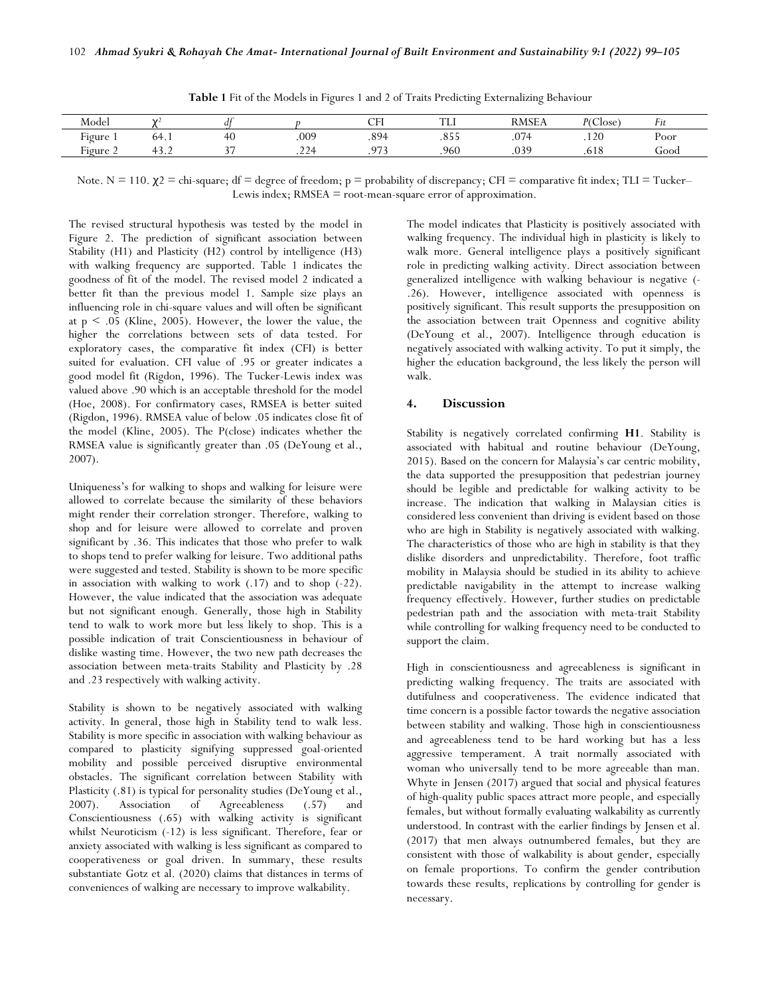| Model                    | $\mathcal{L}$ | a          |                      | CEI<br>◡ェℶ        | <b>TTY</b><br>.    | <b>RMSE</b> A    | D/C1<br>Close          | F1t  |
|--------------------------|---------------|------------|----------------------|-------------------|--------------------|------------------|------------------------|------|
| $\mathbf{r}$<br>Figure 1 | 64.1          | 7 U        | .009                 | QQA<br>$\sim$     | $\cap$ = =<br>.000 | 074<br>$\cdot$ v | .120                   | Poor |
| <b></b><br>Figure 2      | <u>.</u>      | $\sim$ $-$ | 224<br>$\cdot$ 4 $-$ | 07<br>- 54<br>. . | .960               | .039             | $\epsilon$ 1.0<br>.618 | Good |

**Table 1** Fit of the Models in Figures 1 and 2 of Traits Predicting Externalizing Behaviour

Note.  $N = 110$ .  $\chi^2 =$  chi-square; df = degree of freedom; p = probability of discrepancy; CFI = comparative fit index; TLI = Tucker– Lewis index; RMSEA = root-mean-square error of approximation.

The revised structural hypothesis was tested by the model in Figure 2. The prediction of significant association between Stability (H1) and Plasticity (H2) control by intelligence (H3) with walking frequency are supported. Table 1 indicates the goodness of fit of the model. The revised model 2 indicated a better fit than the previous model 1. Sample size plays an influencing role in chi-square values and will often be significant at  $p \leq 0.05$  (Kline, 2005). However, the lower the value, the higher the correlations between sets of data tested. For exploratory cases, the comparative fit index (CFI) is better suited for evaluation. CFI value of .95 or greater indicates a good model fit (Rigdon, 1996). The Tucker-Lewis index was valued above .90 which is an acceptable threshold for the model (Hoe, 2008). For confirmatory cases, RMSEA is better suited (Rigdon, 1996). RMSEA value of below .05 indicates close fit of the model (Kline, 2005). The P(close) indicates whether the RMSEA value is significantly greater than .05 (DeYoung et al., 2007).

Uniqueness's for walking to shops and walking for leisure were allowed to correlate because the similarity of these behaviors might render their correlation stronger. Therefore, walking to shop and for leisure were allowed to correlate and proven significant by .36. This indicates that those who prefer to walk to shops tend to prefer walking for leisure. Two additional paths were suggested and tested. Stability is shown to be more specific in association with walking to work (.17) and to shop (-22). However, the value indicated that the association was adequate but not significant enough. Generally, those high in Stability tend to walk to work more but less likely to shop. This is a possible indication of trait Conscientiousness in behaviour of dislike wasting time. However, the two new path decreases the association between meta-traits Stability and Plasticity by .28 and .23 respectively with walking activity.

Stability is shown to be negatively associated with walking activity. In general, those high in Stability tend to walk less. Stability is more specific in association with walking behaviour as compared to plasticity signifying suppressed goal-oriented mobility and possible perceived disruptive environmental obstacles. The significant correlation between Stability with Plasticity (.81) is typical for personality studies (DeYoung et al., 2007). Association of Agreeableness (.57) and Conscientiousness (.65) with walking activity is significant whilst Neuroticism (-12) is less significant. Therefore, fear or anxiety associated with walking is less significant as compared to cooperativeness or goal driven. In summary, these results substantiate Gotz et al. (2020) claims that distances in terms of conveniences of walking are necessary to improve walkability.

The model indicates that Plasticity is positively associated with walking frequency. The individual high in plasticity is likely to walk more. General intelligence plays a positively significant role in predicting walking activity. Direct association between generalized intelligence with walking behaviour is negative (- .26). However, intelligence associated with openness is positively significant. This result supports the presupposition on the association between trait Openness and cognitive ability (DeYoung et al., 2007). Intelligence through education is negatively associated with walking activity. To put it simply, the higher the education background, the less likely the person will walk.

### **4. Discussion**

Stability is negatively correlated confirming **H1**. Stability is associated with habitual and routine behaviour (DeYoung, 2015). Based on the concern for Malaysia's car centric mobility, the data supported the presupposition that pedestrian journey should be legible and predictable for walking activity to be increase. The indication that walking in Malaysian cities is considered less convenient than driving is evident based on those who are high in Stability is negatively associated with walking. The characteristics of those who are high in stability is that they dislike disorders and unpredictability. Therefore, foot traffic mobility in Malaysia should be studied in its ability to achieve predictable navigability in the attempt to increase walking frequency effectively. However, further studies on predictable pedestrian path and the association with meta-trait Stability while controlling for walking frequency need to be conducted to support the claim.

High in conscientiousness and agreeableness is significant in predicting walking frequency. The traits are associated with dutifulness and cooperativeness. The evidence indicated that time concern is a possible factor towards the negative association between stability and walking. Those high in conscientiousness and agreeableness tend to be hard working but has a less aggressive temperament. A trait normally associated with woman who universally tend to be more agreeable than man. Whyte in Jensen (2017) argued that social and physical features of high-quality public spaces attract more people, and especially females, but without formally evaluating walkability as currently understood. In contrast with the earlier findings by Jensen et al. (2017) that men always outnumbered females, but they are consistent with those of walkability is about gender, especially on female proportions. To confirm the gender contribution towards these results, replications by controlling for gender is necessary.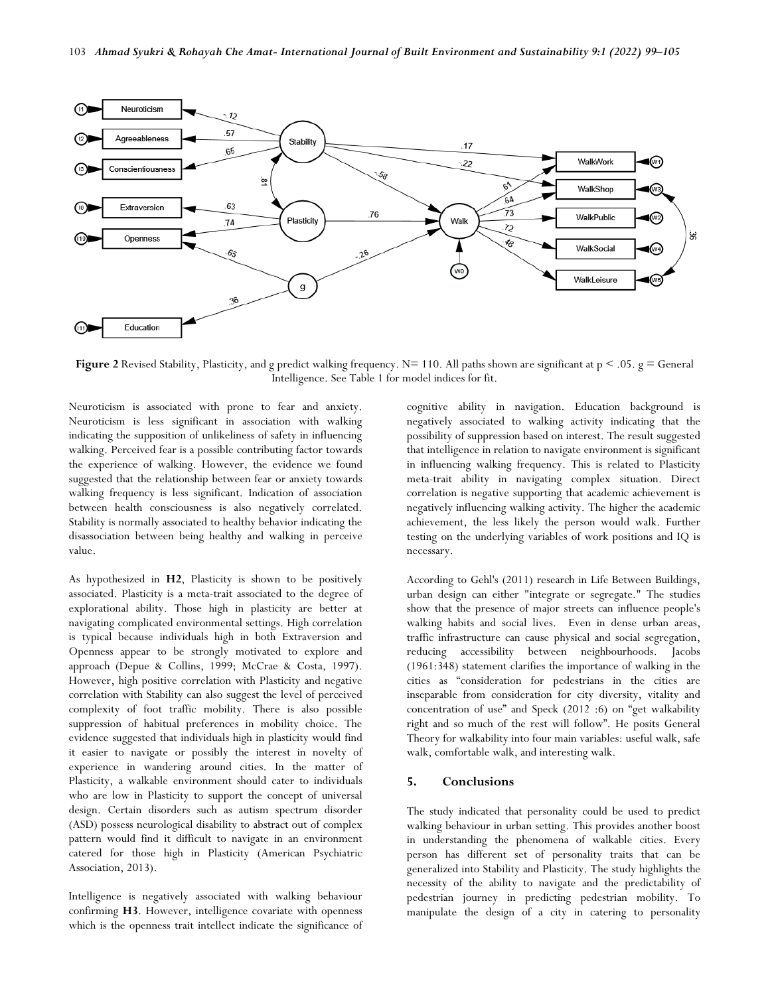

**Figure 2** Revised Stability, Plasticity, and g predict walking frequency. N= 110. All paths shown are significant at  $p < .05$ .  $g = General$ Intelligence. See Table 1 for model indices for fit.

Neuroticism is associated with prone to fear and anxiety. Neuroticism is less significant in association with walking indicating the supposition of unlikeliness of safety in influencing walking. Perceived fear is a possible contributing factor towards the experience of walking. However, the evidence we found suggested that the relationship between fear or anxiety towards walking frequency is less significant. Indication of association between health consciousness is also negatively correlated. Stability is normally associated to healthy behavior indicating the disassociation between being healthy and walking in perceive value.

As hypothesized in **H2**, Plasticity is shown to be positively associated. Plasticity is a meta-trait associated to the degree of explorational ability. Those high in plasticity are better at navigating complicated environmental settings. High correlation is typical because individuals high in both Extraversion and Openness appear to be strongly motivated to explore and approach (Depue & Collins, 1999; McCrae & Costa, 1997). However, high positive correlation with Plasticity and negative correlation with Stability can also suggest the level of perceived complexity of foot traffic mobility. There is also possible suppression of habitual preferences in mobility choice. The evidence suggested that individuals high in plasticity would find it easier to navigate or possibly the interest in novelty of experience in wandering around cities. In the matter of Plasticity, a walkable environment should cater to individuals who are low in Plasticity to support the concept of universal design. Certain disorders such as autism spectrum disorder (ASD) possess neurological disability to abstract out of complex pattern would find it difficult to navigate in an environment catered for those high in Plasticity (American Psychiatric Association, 2013).

Intelligence is negatively associated with walking behaviour confirming **H3**. However, intelligence covariate with openness which is the openness trait intellect indicate the significance of

cognitive ability in navigation. Education background is negatively associated to walking activity indicating that the possibility of suppression based on interest. The result suggested that intelligence in relation to navigate environment is significant in influencing walking frequency. This is related to Plasticity meta-trait ability in navigating complex situation. Direct correlation is negative supporting that academic achievement is negatively influencing walking activity. The higher the academic achievement, the less likely the person would walk. Further testing on the underlying variables of work positions and IQ is necessary.

According to Gehl's (2011) research in Life Between Buildings, urban design can either "integrate or segregate." The studies show that the presence of major streets can influence people's walking habits and social lives. Even in dense urban areas, traffic infrastructure can cause physical and social segregation, reducing accessibility between neighbourhoods. Jacobs (1961:348) statement clarifies the importance of walking in the cities as "consideration for pedestrians in the cities are inseparable from consideration for city diversity, vitality and concentration of use" and Speck (2012 :6) on "get walkability right and so much of the rest will follow". He posits General Theory for walkability into four main variables: useful walk, safe walk, comfortable walk, and interesting walk.

## **5. Conclusions**

The study indicated that personality could be used to predict walking behaviour in urban setting. This provides another boost in understanding the phenomena of walkable cities. Every person has different set of personality traits that can be generalized into Stability and Plasticity. The study highlights the necessity of the ability to navigate and the predictability of pedestrian journey in predicting pedestrian mobility. To manipulate the design of a city in catering to personality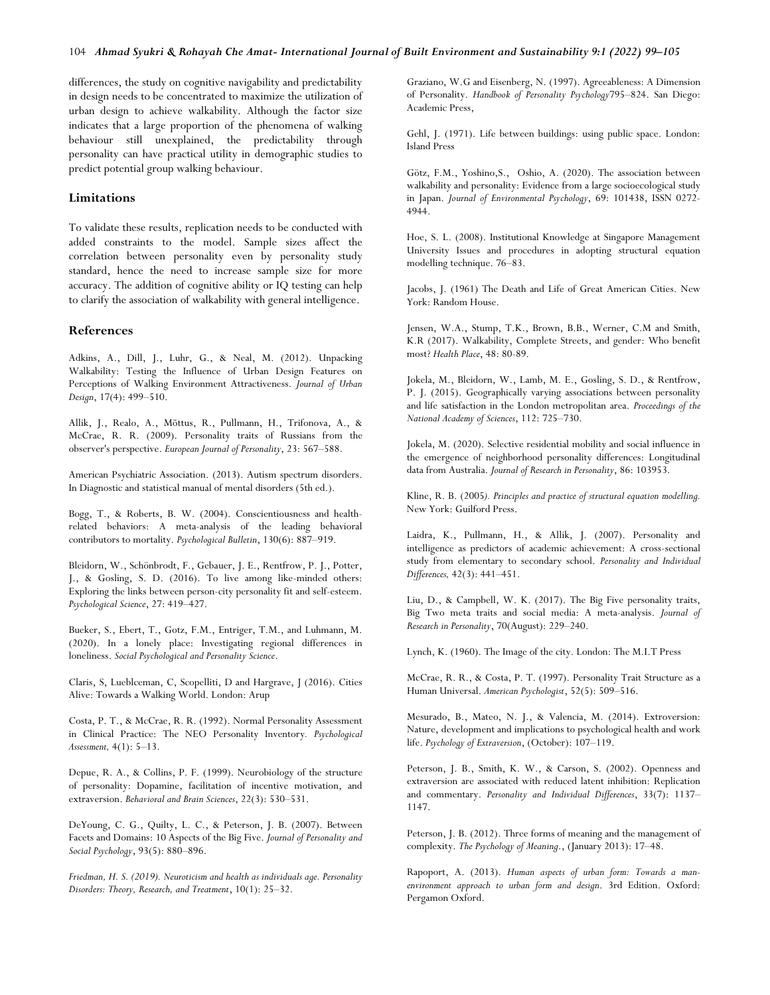differences, the study on cognitive navigability and predictability in design needs to be concentrated to maximize the utilization of urban design to achieve walkability. Although the factor size indicates that a large proportion of the phenomena of walking behaviour still unexplained, the predictability through personality can have practical utility in demographic studies to predict potential group walking behaviour.

#### **Limitations**

To validate these results, replication needs to be conducted with added constraints to the model. Sample sizes affect the correlation between personality even by personality study standard, hence the need to increase sample size for more accuracy. The addition of cognitive ability or IQ testing can help to clarify the association of walkability with general intelligence.

## **References**

Adkins, A., Dill, J., Luhr, G., & Neal, M. (2012). Unpacking Walkability: Testing the Influence of Urban Design Features on Perceptions of Walking Environment Attractiveness. *Journal of Urban Design*, 17(4): 499–510.

Allik, J., Realo, A., Mõttus, R., Pullmann, H., Trifonova, A., & McCrae, R. R. (2009). Personality traits of Russians from the observer's perspective. *European Journal of Personality*, 23: 567–588.

American Psychiatric Association. (2013). Autism spectrum disorders. In Diagnostic and statistical manual of mental disorders (5th ed.).

Bogg, T., & Roberts, B. W. (2004). Conscientiousness and healthrelated behaviors: A meta-analysis of the leading behavioral contributors to mortality. *Psychological Bulletin*, 130(6): 887–919.

Bleidorn, W., Schönbrodt, F., Gebauer, J. E., Rentfrow, P. J., Potter, J., & Gosling, S. D. (2016). To live among like-minded others: Exploring the links between person-city personality fit and self-esteem. *Psychological Science*, 27: 419–427.

Bueker, S., Ebert, T., Gotz, F.M., Entriger, T.M., and Luhmann, M. (2020). In a lonely place: Investigating regional differences in loneliness. *Social Psychological and Personality Science*.

Claris, S, Lueblceman, C, Scopelliti, D and Hargrave, J (2016). Cities Alive: Towards a Walking World. London: Arup

Costa, P. T., & McCrae, R. R. (1992). Normal Personality Assessment in Clinical Practice: The NEO Personality Inventory*. Psychological Assessment,* 4(1): 5–13.

Depue, R. A., & Collins, P. F. (1999). Neurobiology of the structure of personality: Dopamine, facilitation of incentive motivation, and extraversion. *Behavioral and Brain Sciences*, 22(3): 530–531.

DeYoung, C. G., Quilty, L. C., & Peterson, J. B. (2007). Between Facets and Domains: 10 Aspects of the Big Five. *Journal of Personality and Social Psychology*, 93(5): 880–896.

*Friedman, H. S. (2019). Neuroticism and health as individuals age. Personality Disorders: Theory, Research, and Treatment*, 10(1): 25–32.

Graziano, W.G and Eisenberg, N. (1997). Agreeableness: A Dimension of Personality. *Handbook of Personality Psychology*795–824. San Diego: Academic Press,

Gehl, J. (1971). Life between buildings: using public space. London: Island Press

Götz, F.M., Yoshino,S., Oshio, A. (2020). The association between walkability and personality: Evidence from a large socioecological study in Japan. *Journal of Environmental Psychology*, 69: 101438, ISSN 0272- 4944.

Hoe, S. L. (2008). Institutional Knowledge at Singapore Management University Issues and procedures in adopting structural equation modelling technique. 76–83.

Jacobs, J. (1961) The Death and Life of Great American Cities. New York: Random House.

Jensen, W.A., Stump, T.K., Brown, B.B., Werner, C.M and Smith, K.R (2017). Walkability, Complete Streets, and gender: Who benefit most? *Health Place*, 48: 80-89.

Jokela, M., Bleidorn, W., Lamb, M. E., Gosling, S. D., & Rentfrow, P. J. (2015). Geographically varying associations between personality and life satisfaction in the London metropolitan area. *Proceedings of the National Academy of Sciences*, 112: 725–730.

Jokela, M. (2020). Selective residential mobility and social influence in the emergence of neighborhood personality differences: Longitudinal data from Australia. *Journal of Research in Personality*, 86: 103953.

Kline, R. B. (2005*). Principles and practice of structural equation modelling.* New York: Guilford Press.

Laidra, K., Pullmann, H., & Allik, J. (2007). Personality and intelligence as predictors of academic achievement: A cross-sectional study from elementary to secondary school. *Personality and Individual Differences,* 42(3): 441–451.

Liu, D., & Campbell, W. K. (2017). The Big Five personality traits, Big Two meta traits and social media: A meta-analysis. *Journal of Research in Personality*, 70(August): 229–240.

Lynch, K. (1960). The Image of the city. London: The M.I.T Press

McCrae, R. R., & Costa, P. T. (1997). Personality Trait Structure as a Human Universal. *American Psychologist*, 52(5): 509–516.

Mesurado, B., Mateo, N. J., & Valencia, M. (2014). Extroversion: Nature, development and implications to psychological health and work life. *Psychology of Extraversion*, (October): 107–119.

Peterson, J. B., Smith, K. W., & Carson, S. (2002). Openness and extraversion are associated with reduced latent inhibition: Replication and commentary. *Personality and Individual Differences*, 33(7): 1137– 1147.

Peterson, J. B. (2012). Three forms of meaning and the management of complexity. *The Psychology of Meaning*., (January 2013): 17–48.

Rapoport, A. (2013). *Human aspects of urban form: Towards a manenvironment approach to urban form and design*. 3rd Edition. Oxford: Pergamon Oxford.